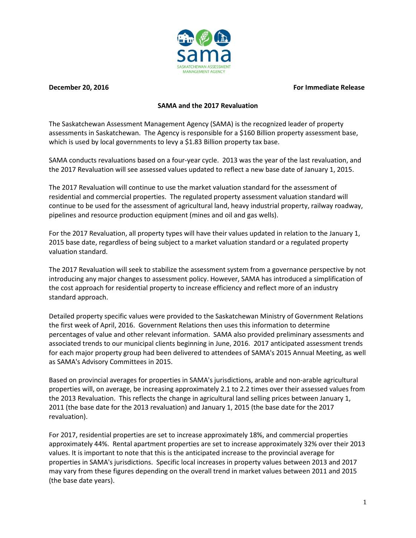

**December 20, 2016** For Immediate Release

## **SAMA and the 2017 Revaluation**

The Saskatchewan Assessment Management Agency (SAMA) is the recognized leader of property assessments in Saskatchewan. The Agency is responsible for a \$160 Billion property assessment base, which is used by local governments to levy a \$1.83 Billion property tax base.

SAMA conducts revaluations based on a four-year cycle. 2013 was the year of the last revaluation, and the 2017 Revaluation will see assessed values updated to reflect a new base date of January 1, 2015.

The 2017 Revaluation will continue to use the market valuation standard for the assessment of residential and commercial properties. The regulated property assessment valuation standard will continue to be used for the assessment of agricultural land, heavy industrial property, railway roadway, pipelines and resource production equipment (mines and oil and gas wells).

For the 2017 Revaluation, all property types will have their values updated in relation to the January 1, 2015 base date, regardless of being subject to a market valuation standard or a regulated property valuation standard.

The 2017 Revaluation will seek to stabilize the assessment system from a governance perspective by not introducing any major changes to assessment policy. However, SAMA has introduced a simplification of the cost approach for residential property to increase efficiency and reflect more of an industry standard approach.

Detailed property specific values were provided to the Saskatchewan Ministry of Government Relations the first week of April, 2016. Government Relations then uses this information to determine percentages of value and other relevant information. SAMA also provided preliminary assessments and associated trends to our municipal clients beginning in June, 2016. 2017 anticipated assessment trends for each major property group had been delivered to attendees of SAMA's 2015 Annual Meeting, as well as SAMA's Advisory Committees in 2015.

Based on provincial averages for properties in SAMA's jurisdictions, arable and non-arable agricultural properties will, on average, be increasing approximately 2.1 to 2.2 times over their assessed values from the 2013 Revaluation. This reflects the change in agricultural land selling prices between January 1, 2011 (the base date for the 2013 revaluation) and January 1, 2015 (the base date for the 2017 revaluation).

For 2017, residential properties are set to increase approximately 18%, and commercial properties approximately 44%. Rental apartment properties are set to increase approximately 32% over their 2013 values. It is important to note that this is the anticipated increase to the provincial average for properties in SAMA's jurisdictions. Specific local increases in property values between 2013 and 2017 may vary from these figures depending on the overall trend in market values between 2011 and 2015 (the base date years).